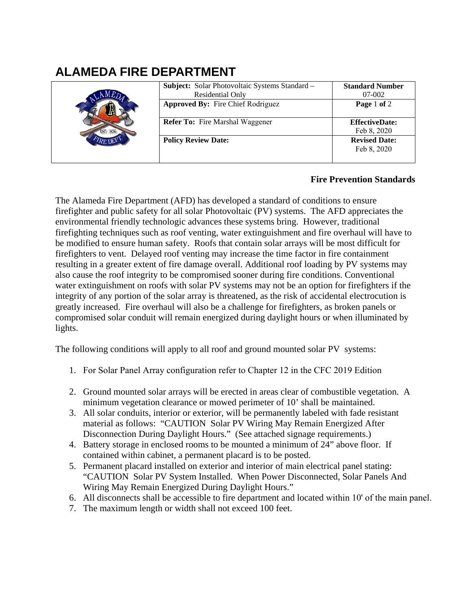## **ALAMEDA FIRE DEPARTMENT**

|  | Subject: Solar Photovoltaic Systems Standard -<br>Residential Only | <b>Standard Number</b><br>07-002     |
|--|--------------------------------------------------------------------|--------------------------------------|
|  | <b>Approved By: Fire Chief Rodriguez</b>                           | Page 1 of 2                          |
|  | <b>Refer To:</b> Fire Marshal Waggener                             | <b>EffectiveDate:</b><br>Feb 8, 2020 |
|  | <b>Policy Review Date:</b>                                         | <b>Revised Date:</b><br>Feb 8, 2020  |

## **Fire Prevention Standards**

The Alameda Fire Department (AFD) has developed a standard of conditions to ensure firefighter and public safety for all solar Photovoltaic (PV) systems. The AFD appreciates the environmental friendly technologic advances these systems bring. However, traditional firefighting techniques such as roof venting, water extinguishment and fire overhaul will have to be modified to ensure human safety. Roofs that contain solar arrays will be most difficult for firefighters to vent. Delayed roof venting may increase the time factor in fire containment resulting in a greater extent of fire damage overall. Additional roof loading by PV systems may also cause the roof integrity to be compromised sooner during fire conditions. Conventional water extinguishment on roofs with solar PV systems may not be an option for firefighters if the integrity of any portion of the solar array is threatened, as the risk of accidental electrocution is greatly increased. Fire overhaul will also be a challenge for firefighters, as broken panels or compromised solar conduit will remain energized during daylight hours or when illuminated by lights.

The following conditions will apply to all roof and ground mounted solar PV systems:

- 1. For Solar Panel Array configuration refer to Chapter 12 in the CFC 2019 Edition
- 2. Ground mounted solar arrays will be erected in areas clear of combustible vegetation. A minimum vegetation clearance or mowed perimeter of 10' shall be maintained.
- 3. All solar conduits, interior or exterior, will be permanently labeled with fade resistant material as follows: "CAUTION Solar PV Wiring May Remain Energized After Disconnection During Daylight Hours." (See attached signage requirements.)
- 4. Battery storage in enclosed rooms to be mounted a minimum of 24" above floor. If contained within cabinet, a permanent placard is to be posted.
- 5. Permanent placard installed on exterior and interior of main electrical panel stating: "CAUTION Solar PV System Installed. When Power Disconnected, Solar Panels And Wiring May Remain Energized During Daylight Hours."
- 6. All disconnects shall be accessible to fire department and located within 10' of the main panel.
- 7. The maximum length or width shall not exceed 100 feet.